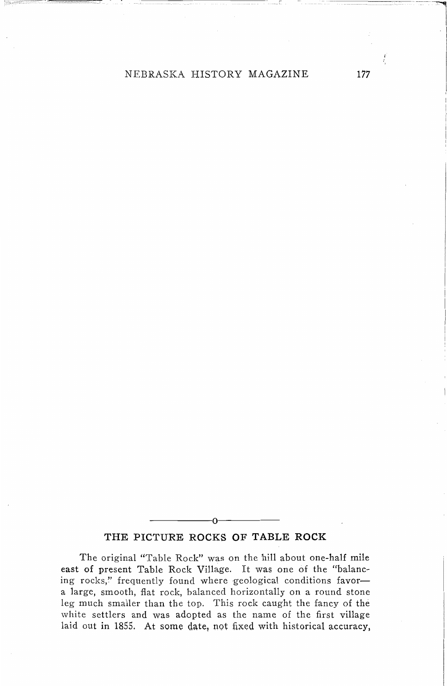## NEBRASKA HISTORY MAGAZINE **177**

## **THE PICTURE ROCKS OF TABLE ROCK**

-----0----

The original "Table Rock" was on the hill about one-half mile east of present Table Rock Village. It was one of the "balancing rocks," frequently found where geological conditions favora large, smooth, flat rock, balanced horizontally on a round stone leg much smailer than the top. This rock caught the fancy of the white settlers and was adopted as the name of the first village laid out in 1855. At some date, not fixed with historical accuracy,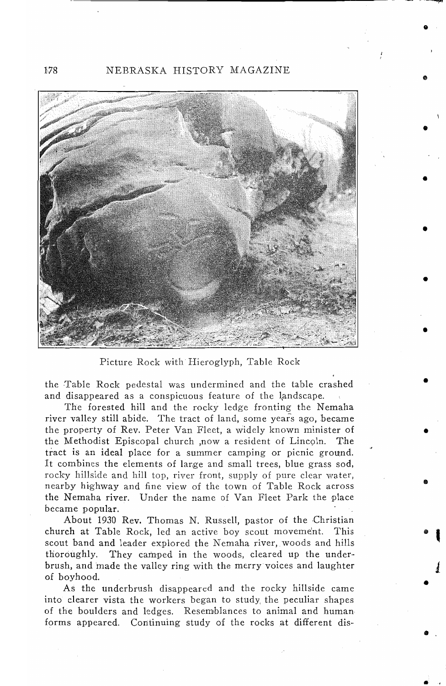178 NEBRASKA HISTORY MAGAZINE



Picture Rock with Hieroglyph, Table Rock

the Table Rock pedestal was undermined and the table crashed and disappeared as a conspicuous feature of the landscape,

The forested hill and the rocky ledge fronting the Nemaha river valley still abide. The tract of land, some years ago, became the property of Rev. Peter Van Fleet, a widely known minister of the Methodist Episcopal church .now a resident of Lincoln. The the Methodist Episcopal church , now a resident of Lincoln. tract is an ideal place for a summer camping or picnic ground. It combines the elements of large and small trees, blue grass sod, rocky hillside and hill top, river front, supply of pure clear water, nearby highway and fine view of the town of Table Rock across the Nemaha river. Under the name of Van Fleet Park the place became popular.

About 1930 Rev. Thomas N. Russell, pastor of the Christian church at Table Rock, led an active boy scout movement. This scout band and leader explored the Nemaha river, woods and hills thoroughly. They camped in the woods, cleared up the underbrush, and made the valley ring with the merry voices and laughter of boyhood.

As the underbrush disappeared and the rocky hillside came into clearer vista the workers began to study, the peculiar shapes of the boulders and ledges. Resemblances to animal and human forms appeared. Continuing study of the rocks at different dis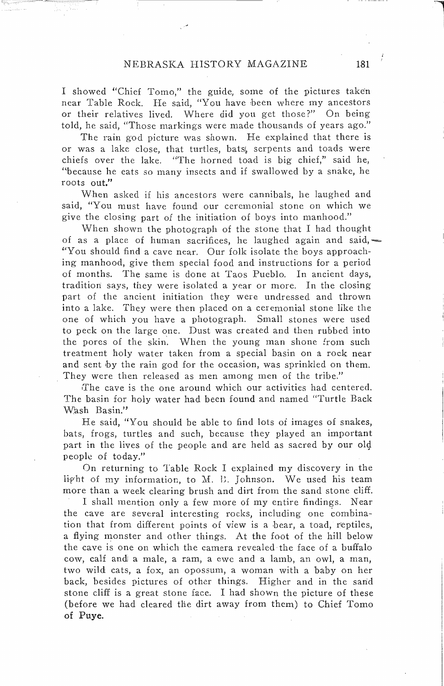I showed "Chief Tomo," the guide, some of the pictures taken near Table Rock. He said, "You have been where my ancestors or their relatives lived. Where did you get those?" On being told, he said, "Those markings were made thousands of years ago."

The rain god picture was shown. He explained that there is or was a lake close, that turtles, bats; serpents and toads were chiefs over the lake. "The horned toad is big chief," said he, "because he eats so many insects and if swallowed by a snake, he roots out."

When asked if his ancestors were cannibals, he laughed and said, "You must have found our ceremonial stone on which we give the closing part of the initiation of boys into manhood."

When shown the photograph of the stone that I had thought of as a place of human sacrifices, he laughed again and said, $\sim$ "You should find a cave near. Our folk isolate the boys approaching manhood, give them special food and instructions for a period of months. The same is done at Taos Pueblo. In ancient days, tradition says, they were isolated a year or more. In the closing part of the ancient initiation they were undressed and thrown into a lake. They were then placed on a ceremonial stone like the one of which you have a photograph. Small stones were used to peck on the large one. Dust was created and then rubbed into the pores of the skin. When the young man shone from such treatment holy water taken from a special basin on a rock near and sent by the rain god for the occasion, was sprinkled on them. They were then released as men among men of the tribe."

The cave is the one around which our activities had centered. The basin for holy water had been found and named "Turtle Back Wash Basin."

He said, "You should be able to find lots of images of snakes, bats, frogs, turtles and such, because they played an important part in the lives of the people and are held as sacred by our 014 people of today."

On returning to Table Rock I explained my discovery in the light of my information, to M. B. Johnson. We used his team more than a week clearing brush and dirt from the sand stone cliff.

I shall mention only a few more of my entire findings. Near the cave are several interesting rocks, including one combination that from different points of view is a bear, a toad, reptiles, a flying monster and other things. At the foot of the hill below the cave is one on which the camera revealed the face of a buffalo cow, calf and a male, a ram, a ewe and a lamb, an owl, a man, two wild cats, a fox, an opossum, a woman with a baby on her back, besides pictures of other things. Higher and in the sand stone cliff is a great stone face. I had shown the picture of these (before we had cleared the dirt away from them) to Chief Tomo of Puye.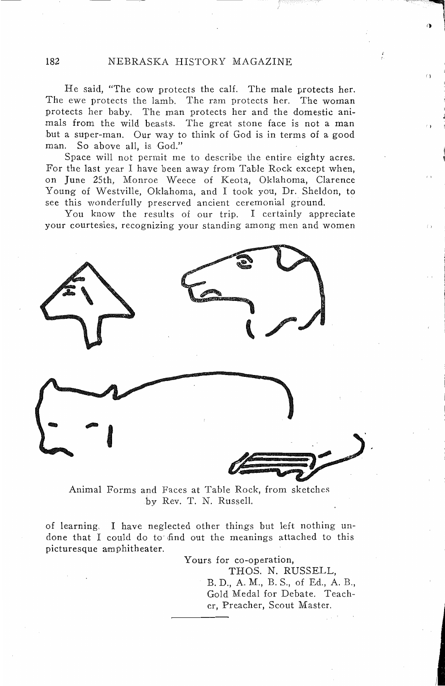He said, "The cow protects the calf. The male protects her. The ewe protects the lamb. The ram protects her. The woman protects her baby. The man protects her and the domestic animals from the wild beasts. The great stone face is not a man but a super-man. Our way to think of God is in terms of a good man. So above all, is God."

Space will not permit me to describe the entire eighty acres. For the last year I have been away from Table Rock except when, on June 25th, Monroe Weece of Keota, Oklahoma, Clarence Young of Westville, Oklahoma, and I took you, Dr. Sheldon, to see this wonderfully preserved ancient ceremonial ground.

You know the results of our trip. I certainly appreciate your courtesies, recognizing your standing among men and women



Animal Forms and Faces at Table Rock, from sketches by Rev. T. N. Russell.

of learning. I have neglected other things but left nothing undone that I could do to find out the meanings attached to this picturesque amphitheater.

> Yours for co-operation, THOS. N. RUSSELL, B. D., A. M., B. S., of Ed., A. B., Gold Medal for Debate. Teacher, Preacher, Scout Master.